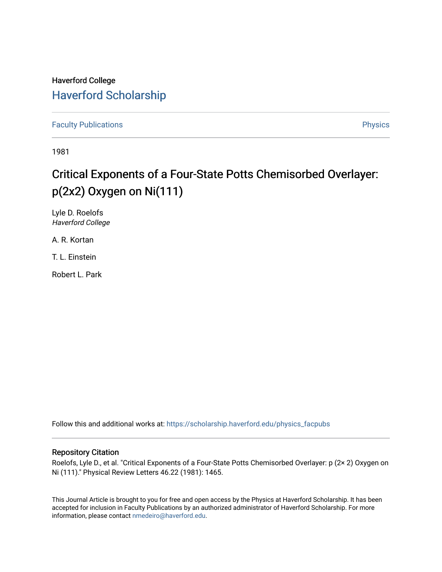## Haverford College [Haverford Scholarship](https://scholarship.haverford.edu/)

[Faculty Publications](https://scholarship.haverford.edu/physics_facpubs) **Physics** 

1981

## Critical Exponents of a Four-State Potts Chemisorbed Overlayer: p(2x2) Oxygen on Ni(111)

Lyle D. Roelofs Haverford College

A. R. Kortan

T. L. Einstein

Robert L. Park

Follow this and additional works at: [https://scholarship.haverford.edu/physics\\_facpubs](https://scholarship.haverford.edu/physics_facpubs?utm_source=scholarship.haverford.edu%2Fphysics_facpubs%2F269&utm_medium=PDF&utm_campaign=PDFCoverPages) 

## Repository Citation

Roelofs, Lyle D., et al. "Critical Exponents of a Four-State Potts Chemisorbed Overlayer: p (2× 2) Oxygen on Ni (111)." Physical Review Letters 46.22 (1981): 1465.

This Journal Article is brought to you for free and open access by the Physics at Haverford Scholarship. It has been accepted for inclusion in Faculty Publications by an authorized administrator of Haverford Scholarship. For more information, please contact [nmedeiro@haverford.edu.](mailto:nmedeiro@haverford.edu)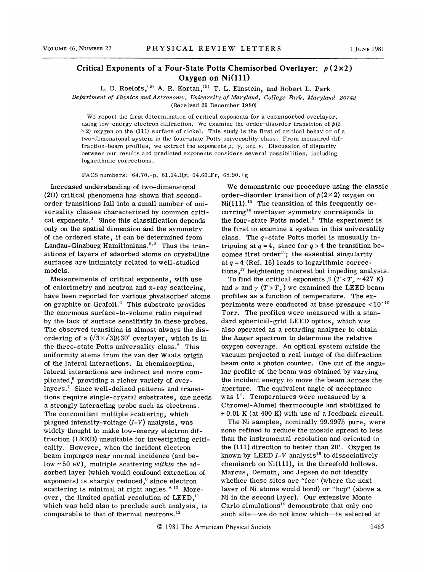## Critical Exponents of a Four-State Potts Chemisorbed Overlayer:  $p(2\times2)$ Oxygen on Ni(111)

L. D. Roelofs,  $^{(a)}$  A. R. Kortan,  $^{(b)}$  T. L. Einstein, and Robert L. Park

Department of Physics and Astronomy, University of Maryland, College Park, Maryland 20742

(Received 29 December 1980)

We report the first determination of critical exponents for a chemisorbed overlayer, using low-energy electron diffraction. We examine the order-disorder transition of  $p(2)$  $\times$ 2) oxygen on the (111) surface of nickel. This study is the first of critical behavior of a two-dimensional system in the four-state Potts universality class. From measured diffraction-beam profiles, we extract the exponents  $\beta$ ,  $\gamma$ , and  $\nu$ . Discussion of disparity between our results and predicted exponents considers several possibilities, including logarithmic corrections.

PACS numbers: 64.70.-p, 61.14.Hg, 64.60.Fr, 68.90.+g

Increased understanding of two-dimensional (2D) critical phenomena has shown that secondorder transitions fall into a small number of universality classes characterized by common critical exponents.<sup>1</sup> Since this classification depends only on the spatial dimension and the symmetry of the ordered state, it can be determined from only on the spatial dimension and the symmetry<br>of the ordered state, it can be determined from<br>Landau-Ginzburg Hamiltonians.<sup>2,3</sup> Thus the transitions of layers of adsorbed atoms on crystalline surfaces are intimately related to well-studied models.

Measurements of critical exponents, with use of calorimetry and neutron and x-ray scattering, have been reported for various physisorbed atoms on graphite or  $Grafoi.$ <sup>4</sup> This substrate provides the enormous surface-to-volume ratio required by the lack of surface sensitivity in these probes. The observed transition is almost always the disordering of a  $(\sqrt{3} \times \sqrt{3})R30^\circ$  overlayer, which is in the three-state Potts universality class.<sup>5</sup> This uniformity stems from the van der Waals origin of the lateral interactions. In chemisorption, lateral interactions are indirect and more comrates as men actions are married and more depicated,<sup>6</sup> providing a richer variety of overlayers.<sup>7</sup> Since well-defined patterns and transitions require single-crystal substrates, one needs a strongly interacting probe such as electrons. The concomitant multiple scattering, which plagued intensity-voltage  $(I-V)$  analysis, was widely thought to make low-energy electron diffraction (LEED) unsuitable for investigating criticality. However, when the incident electron beam impinges near normal incidence (and bebeam impinges near normal incidence (and be-<br>low ~50 eV), multiple scattering *within* the adsorbed layer (which would confound extraction of exponents) is sharply reduced,<sup>8</sup> since electron<br>scattering is minimal at right angles.<sup>9,10</sup> Mo: scattering is minimal at right angles. $^{9,10}$  More-<br>over, the limited spatial resolution of LEED, $^{11}$ over, the limited spatial resolution of  $LEED<sub>11</sub>$ , which was held also to preclude such analysis, is<br>comparable to that of thermal neutrons.<sup>12</sup> comparable to that of thermal neutrons.

We demonstrate our procedure using the classic order-disorder transition of  $p(2\times 2)$  oxygen on order-disorder transition of  $p(2\times2)$  oxygen on<br>Ni(111).<sup>13</sup> The transition of this frequently oc- $\text{curring}^{14}$  overlayer symmetry corresponds to the four-state Potts model.<sup>3</sup> This experiment is the first to examine a system in this universality class. The  $q$ -state Potts model is unusually intriguing at  $q = 4$ , since for  $q > 4$  the transition becomes first order<sup>15</sup>; the essential singularity at  $q = 4$  (Ref. 16) leads to logarithmic corrections,<sup>17</sup> heightening interest but impeding ana tions,<sup>17</sup> heightening interest but impeding analysis

To find the critical exponents  $\beta$  (T < T<sub>c</sub> ~ 427 K) and  $\nu$  and  $\gamma$  (T > T<sub>c</sub>) we examined the LEED beam profiles as a function of temperature. The exprofiles as a function of temperature. The  $ex$ -<br>periments were conducted at base pressure < $10^{-10}$ Torr. The profiles were measured with a standard spherical-grid LEED optics, which was also operated as a retarding analyzer to obtain the Auger spectrum to determine the relative oxygen coverage. An optical system outside the vacuum projected a real image of the diffraction beam onto a photon counter. One cut of the angular profile of the beam was obtained by varying the incident energy to move the beam across the aperture. The equivalent angle of acceptance was  $1^\circ$ . Temperatures were measured by a Chromel-Alumel thermocouple and stabilized to  $\pm$  0.01 K (at 400 K) with use of a feedback circuit.

The Ni samples, nominally 99.995% pure, were zone refined to reduce the mosaic spread to less than the instrumental resolution and oriented to the  $(111)$  direction to better than 20'. Oxygen is known by LEED  $I-V$  analysis<sup>18</sup> to dissociatively chemisorb on Ni(111), in the threefold hollows. Marcus, Demuth, and Jepsen do not identify whether these sites are "fcc" (where the next layer of Ni atoms would bond) or "hcp" (above a Ni in the second layer). Our extensive Monte Carlo simulations<sup>19</sup> demonstrate that only one such site—we do not know which—is selected at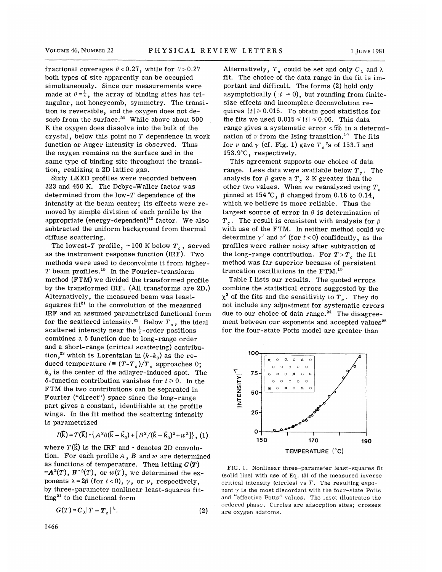fractional coverages  $\theta < 0.27$ , while for  $\theta > 0.27$ both types of site apparently can be occupied simultaneously. Since our measurements were made at  $\theta = \frac{1}{4}$ , the array of binding sites has triangular, not honeycomb, symmetry. The transition is reversible, and the oxygen does not de-<br>sorb from the surface.<sup>20</sup> While above about 50 sorb from the surface. While above about 500 K the oxygen does dissolve into the bulk of the crystal, below this point no  $T$  dependence in work function or Auger intensity is observed. Thus the oxygen remains on the surface and in the same type of binding site throughout the transition, realizing a 2D lattice gas.

Sixty LEED profiles were recorded between 323 and 450 K. The Debye-Waller factor was determined from the low- $T$  dependence of the intensity at the beam center; its effects were removed by simple division of each profile by the appropriate (energy-dependent)<sup>10</sup> factor. We also subtracted the uniform background from thermal diffuse scattering.

The lowest- $T$  profile,  $\sim\!100$  K below  $T_c$  , served as the instrument response function (IRF). Two methods were used to deconvolute it from higher<br>T beam profiles.<sup>19</sup> In the Fourier-transform  $T$  beam profiles.<sup>19</sup> In the Fourier-transfor method (FTM) we divided the transformed profile by the transformed IRF. (All transforms are 2D.) Alternatively, the measured beam was leastsquares  $fit^{21}$  to the convolution of the measured IRF and an assumed parametrized functional form IRF and an assumed parametrized functional form<br>for the scattered intensity.<sup>22</sup> Below  $T_c$ , the ideal scattered intensity near the  $\frac{1}{2}$ -order positions combines a  $\delta$  function due to long-range order and a short-range (critical scattering) contribuand a short-range (critical scattering) contrition,<sup>23</sup> which is Lorentzian in  $(k-k_0)$  as the reduced temperature  $t \equiv (T-T_c)/T_c$  approaches 0;  $k_0$  is the center of the adlayer-induced spot. The  $\delta$ -function contribution vanishes for  $t \ge 0$ . In the FTM the two contributions can be separated in Fourier ("direct") space since the long-range part gives a constant, identifiable at the profile wings. In the fit method the scattering intensity is parametrized

$$
I(\vec{k}) = T(\vec{k}) \cdot \left\{ A^2 \delta(\vec{k} - \vec{k}_0) + \left[ B^2 / (\vec{k} - \vec{k}_0)^2 + w^2 \right] \right\}, (1)
$$

where  $T(\vec{k})$  is the IRF and  $\cdot$  denotes 2D convolution. For each profile  $A$  ,  $B$  and  $w$  are determine as functions of temperature. Then letting  $G(T)$  $=\mathbf{A}^2(T)$ ,  $\mathbf{B}^{-2}(T)$ , or  $w(T)$ , we determined the exponents  $\lambda = 2\beta$  (for  $t < 0$ ),  $\gamma$ , or  $\nu$ , respectively, by three-parameter nonlinear least-squares fitting<sup>21</sup> to the functional form

$$
G(T) = C_{\lambda} |T - T_c|^{\lambda}.
$$
 (2)

Alternatively,  $T_c$  could be set and only  $C_{\lambda}$  and  $\lambda$ fit. The choice of the data range in the fit is important and difficult. The forms (2) hold only asymptotically  $( |t| \rightarrow 0)$ , but rounding from finitesize effects and incomplete deconvolution requires  $|t| \ge 0.015$ . To obtain good statistics for the fits we used  $0.015 \leq |t| \leq 0.06$ . This data range gives a systematic error  $\langle 5\% \rangle$  in a determirange gives a systematic error < $5\%$  in a deter:<br>nation of  $\nu$  from the Ising transition.<sup>19</sup> The fits for  $\nu$  and  $\gamma$  (cf. Fig. 1) gave  $T_c$ 's of 153.7 and 153.9'C, respectively.

This agreement supports our choice of data range. Less data were available below  $T_c$ . The analysis for  $\beta$  gave a  $T_c$  2 K greater than the other two values. When we reanalyzed using  $T_c$ pinned at 154 °C,  $\beta$  changed from 0.16 to 0.14, which we believe is more reliable. Thus the largest source of error in  $\beta$  is determination of  $T<sub>c</sub>$ . The result is consistent with analysis for  $\beta$ with use of the FTM. In neither method could we determine  $\gamma'$  and  $\nu'$  (for  $t < 0$ ) confidently, as the profiles were rather noisy after subtraction of the long-range contribution. For  $T > T_c$ , the fit method was far superior because of persister<br>truncation oscillations in the  $\text{FTM.}^{19}$ truncation oscillations in the FTM.

Table I lists our results. The quoted errors combine the statistical errors suggested by the  $\chi^2$  of the fits and the sensitivity to  $T_c$ . They do not include any adjustment for systematic errors due to our choice of data range. $24$  The disagreement between our exponents and accepted values<sup>25</sup> for the four-state Potts model are greater than



FIG. 1. Nonlinear three-parameter least-squares fit (solid line) with use of Eq. {3) of the measured inverse critical intensity (circles) vs  $T$ . The resulting exponent  $\gamma$  is the most discordant with the four-state Potts and "effective Potts" values. The inset illustrates the ordered phase. Circles are adsorption sites; crosses are oxygen adatoms.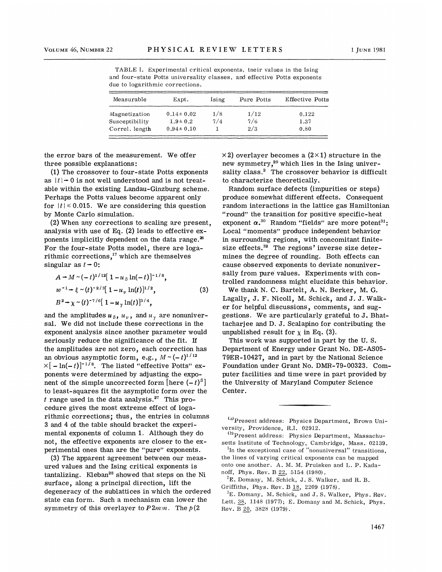TABLE I. Experimental critical exponents, tneir values in the Ising and four-state Potts universality classes, and effective Potts exponents due to logarithmic corrections.

| Measurable     | Expt.           | Ising | Pure Potts | <b>Effective Potts</b> |
|----------------|-----------------|-------|------------|------------------------|
| Magnetization  | $0.14 \pm 0.02$ | 1/8   | 1/12       | 0.122                  |
| Susceptibility | $1.9 \pm 0.2$   | 7/4   | 7/6        | 1.37                   |
| Correl. length | $0.94 \pm 0.10$ |       | 2/3        | 0.80                   |

the error bars of the measurement. We offer three possible explanations:

(1) The crossover to four-state Potts exponents as  $|t|$   $\rightarrow$  0 is not well understood and is not treatable within the existing Landau-Ginzburg scheme. Perhaps the Potts values become apparent only for  $|t| \leq 0.015$ . We are considering this question by Monte Carlo simulation.

(2}When any corrections to scaling are present, analysis with use of Eq. (2) leads to effective exponents implicitly dependent on the data range. $^{\text{26}}$ For the four-state Potts model, there are loga-For the four-state Potts model, there are<br>rithmic corrections,<sup>17</sup> which are themselve singular as  $t \rightarrow 0$ :

$$
A + M \sim (-t)^{1/12} [1 - u_{\beta} \ln(-t)]^{-1/8},
$$
  
\n
$$
w^{-1} + \xi \sim (t)^{-2/3} [1 - u_{\gamma} \ln(t)]^{1/2},
$$
  
\n
$$
B^{2} + \chi \sim (t)^{-7/6} [1 - u_{\gamma} \ln(t)]^{3/4},
$$
\n(3)

and the amplitudes  $u_{\,\beta},\,u_{\,\nu}\,,\,$  and  $u_{\,\gamma}\,$  are nonuniver sal. We did not include these corrections in the exponent analysis since another parameter would seriously reduce the significance of the fit. If the amplitudes are not zero, each correction has an obvious asymptotic form, e.g.,  $M \sim (-t)^{1/12}$  $\times[-\ln(-t)]^{-1/8}$ . The listed "effective Potts" exponents were determined by adjusting the exponent of the simple uncorrected form [here  $(-t)^{\beta}$ ] to least-squares fit the asymptotic form over the to least-squares fit the asymptotic form over<br>t range used in the data analysis.<sup>27</sup> This procedure gives the most extreme effect of logarithmic corrections; thus, the entries in columns 3 and 4 of the table should bracket the experimental exponents of column 1. Although they do not, the effective exponents are closer to the experimental ones than are the "pure" exponents.

(3) The apparent agreement between our measured values and the Ising critical exponents is  $tantalizing.$  Kleban<sup>28</sup> showed that steps on the Ni surface, along a principal direction, lift the degeneracy of the sublattices in which the ordered state can form. Such a mechanism can lower the symmetry of this overlayer to  $P2mm$ . The  $p(2)$ 

 $\times$ 2) overlayer becomes a (2 $\times$ 1) structure in the  $\times$ 2) overlayer becomes a (2 $\times$ 1) structure in th<br>new symmetry,<sup>29</sup> which lies in the Ising univer sality class.<sup>2</sup> The crossover behavior is difficult to characterize theoretically.

Random surface defects (impurities or steps) produce somewhat different effects. Consequent random interactions in the lattice gas Hamiltonian "round" the transition for positive specific-heat "round" the transition for positive specific-heat<br>exponent  $\alpha$ ,<sup>30</sup> Random "fields" are more potent<sup>31</sup> Local "moments" produce independent behavior in surrounding regions, with concomitant finitein surrounding regions, with concomitant finite<br>size effects.<sup>32</sup> The regions' inverse size deter mines the degree of rounding. Both effects can cause observed exponents to deviate nonuniversally from pure values. Experiments with controlled randomness might elucidate this behavior.

We thank N. C. Bartelt, A. N. Berker, M. G. Lagally, J. F. Nicoll, M. Schick, and J.J. Walker for helpful discussions, comments, and suggestions. We are particularly grateful to J. Bhattacharjee and D. J. Scalapino for contributing the unpublished result for  $\chi$  in Eq. (3).

This work was supported in part by the U. S. Department of Energy under Grant No. DE-AS05- 79ER-10427, and in part by the National Science Foundation under Grant No. DMR-79-00323. Computer facilities and time were in part provided by the University of Maryland Computer Science Center.

<sup>(</sup>a)Present address: Physics Department, Brown University, Providence, R.I. 02912.

<sup>(</sup>b)Present address: Physics Department, Massachusetts Institute of Technology, Cambridge, Mass. 02139.

In the exceptional case of "nonuniversal" transitions the lines of varying critical exponents can be mapped onto one another. A. M. M. Pruisken and L. P. Kadanoff, Phys. Rev. B 22, 5154 (1980).

 $E^2$ E. Domany, M. Schick, J. S. Walker, and R. B. Griffiths, Phys. Rev. B 18, 2209 (1978).

 ${}^{3}E$ . Domany, M. Schick, and J. S. Walker, Phys. Rev. Lett. 38, 1148 (1977); E. Domany and M. Schick, Phys. Rev. B 20, 3828 (1979).